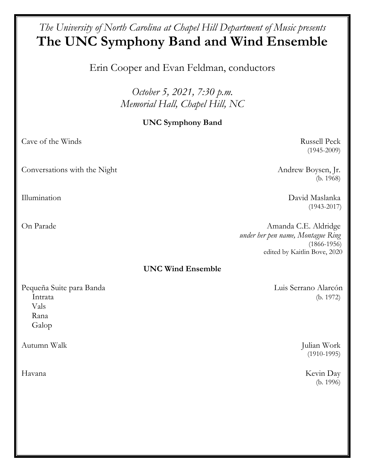# *The University of North Carolina at Chapel Hill Department of Music presents*  **The UNC Symphony Band and Wind Ensemble**

Erin Cooper and Evan Feldman, conductors

*October 5, 2021, 7:30 p.m. Memorial Hall, Chapel Hill, NC*

# **UNC Symphony Band**

Cave of the Winds Russell Peck

Conversations with the Night Andrew Boysen, Jr.

(1945-2009)

(b. 1968)

Illumination David Maslanka (1943-2017)

On Parade Amanda C.E. Aldridge *under her pen name, Montague Ring* (1866-1956) edited by Kaitlin Bove, 2020

## **UNC Wind Ensemble**

Pequeña Suite para Banda **Luis Serrano Alarcón**  Intrata (b. 1972) Vals Rana Galop

Autumn Walk Julian Work

(1910-1995)

Havana Kevin Day (b. 1996)